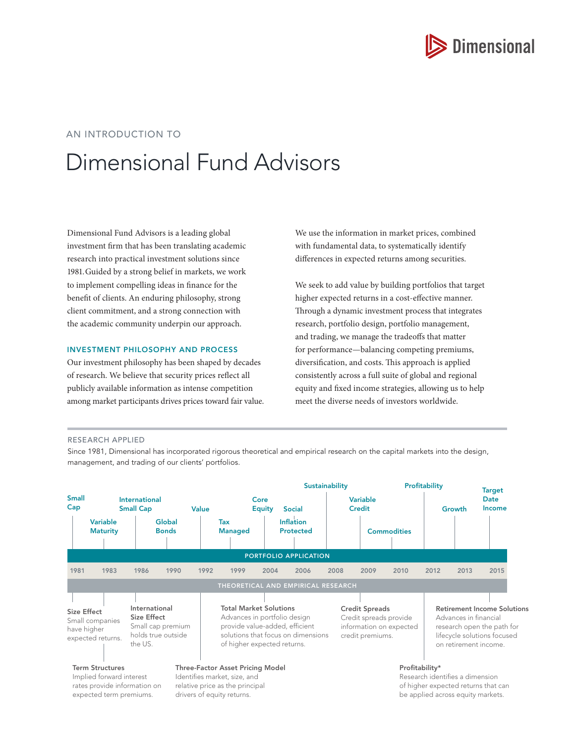

# AN INTRODUCTION TO

# Dimensional Fund Advisors

Dimensional Fund Advisors is a leading global investment firm that has been translating academic research into practical investment solutions since 1981. Guided by a strong belief in markets, we work to implement compelling ideas in finance for the benefit of clients. An enduring philosophy, strong client commitment, and a strong connection with the academic community underpin our approach.

#### INVESTMENT PHILOSOPHY AND PROCESS

Our investment philosophy has been shaped by decades of research. We believe that security prices reflect all publicly available information as intense competition among market participants drives prices toward fair value. We use the information in market prices, combined with fundamental data, to systematically identify differences in expected returns among securities.

We seek to add value by building portfolios that target higher expected returns in a cost-effective manner. Through a dynamic investment process that integrates research, portfolio design, portfolio management, and trading, we manage the tradeoffs that matter for performance—balancing competing premiums, diversification, and costs. This approach is applied consistently across a full suite of global and regional equity and fixed income strategies, allowing us to help meet the diverse needs of investors worldwide.

#### RESEARCH APPLIED

Since 1981, Dimensional has incorporated rigorous theoretical and empirical research on the capital markets into the design, management, and trading of our clients' portfolios.